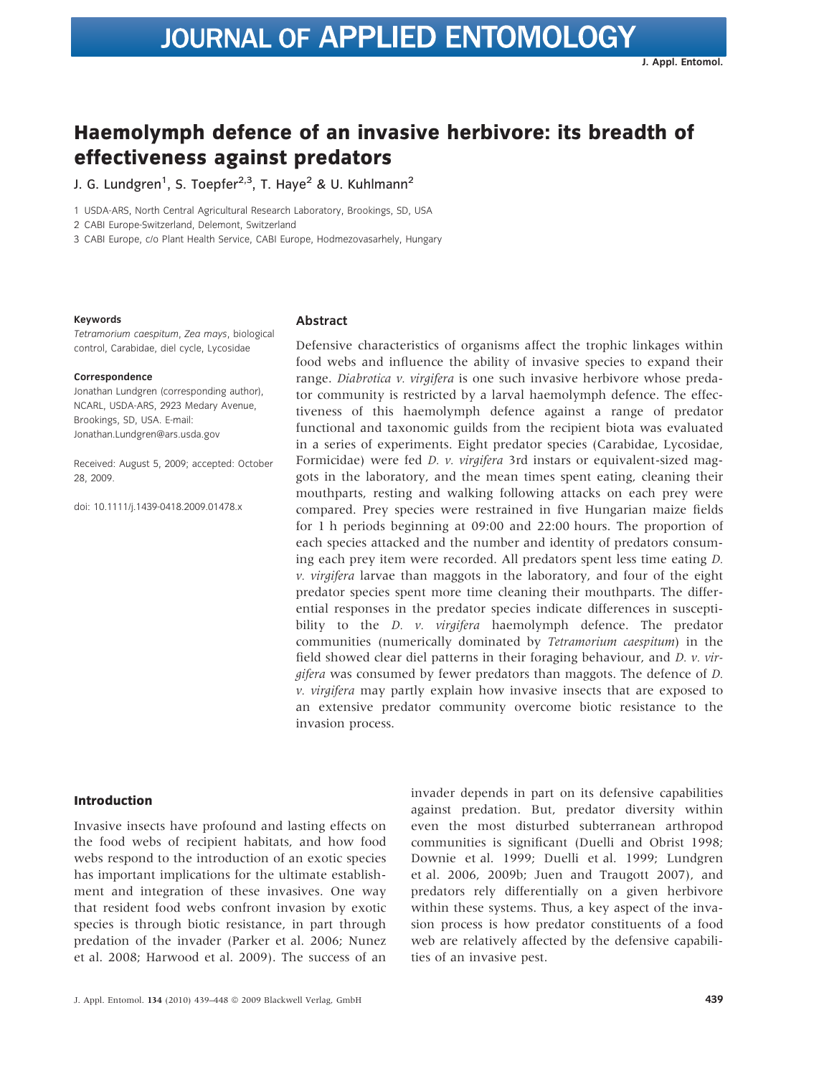# Haemolymph defence of an invasive herbivore: its breadth of effectiveness against predators

J. G. Lundgren $^1$ , S. Toepfer $^{2,3}$ , T. Haye $^2$  & U. Kuhlmann $^2$ 

1 USDA-ARS, North Central Agricultural Research Laboratory, Brookings, SD, USA

2 CABI Europe-Switzerland, Delemont, Switzerland

3 CABI Europe, c/o Plant Health Service, CABI Europe, Hodmezovasarhely, Hungary

#### Keywords

Tetramorium caespitum, Zea mays, biological control, Carabidae, diel cycle, Lycosidae

#### Correspondence

Jonathan Lundgren (corresponding author), NCARL, USDA-ARS, 2923 Medary Avenue, Brookings, SD, USA. E-mail: Jonathan.Lundgren@ars.usda.gov

Received: August 5, 2009; accepted: October 28, 2009.

doi: 10.1111/j.1439-0418.2009.01478.x

#### Abstract

Defensive characteristics of organisms affect the trophic linkages within food webs and influence the ability of invasive species to expand their range. Diabrotica v. virgifera is one such invasive herbivore whose predator community is restricted by a larval haemolymph defence. The effectiveness of this haemolymph defence against a range of predator functional and taxonomic guilds from the recipient biota was evaluated in a series of experiments. Eight predator species (Carabidae, Lycosidae, Formicidae) were fed *D. v. virgifera* 3rd instars or equivalent-sized maggots in the laboratory, and the mean times spent eating, cleaning their mouthparts, resting and walking following attacks on each prey were compared. Prey species were restrained in five Hungarian maize fields for 1 h periods beginning at 09:00 and 22:00 hours. The proportion of each species attacked and the number and identity of predators consuming each prey item were recorded. All predators spent less time eating D. v. virgifera larvae than maggots in the laboratory, and four of the eight predator species spent more time cleaning their mouthparts. The differential responses in the predator species indicate differences in susceptibility to the *D. v. virgifera* haemolymph defence. The predator communities (numerically dominated by Tetramorium caespitum) in the field showed clear diel patterns in their foraging behaviour, and D. v. virgifera was consumed by fewer predators than maggots. The defence of D. v. virgifera may partly explain how invasive insects that are exposed to an extensive predator community overcome biotic resistance to the invasion process.

#### Introduction

Invasive insects have profound and lasting effects on the food webs of recipient habitats, and how food webs respond to the introduction of an exotic species has important implications for the ultimate establishment and integration of these invasives. One way that resident food webs confront invasion by exotic species is through biotic resistance, in part through predation of the invader (Parker et al. 2006; Nunez et al. 2008; Harwood et al. 2009). The success of an

invader depends in part on its defensive capabilities against predation. But, predator diversity within even the most disturbed subterranean arthropod communities is significant (Duelli and Obrist 1998; Downie et al. 1999; Duelli et al. 1999; Lundgren et al. 2006, 2009b; Juen and Traugott 2007), and predators rely differentially on a given herbivore within these systems. Thus, a key aspect of the invasion process is how predator constituents of a food web are relatively affected by the defensive capabilities of an invasive pest.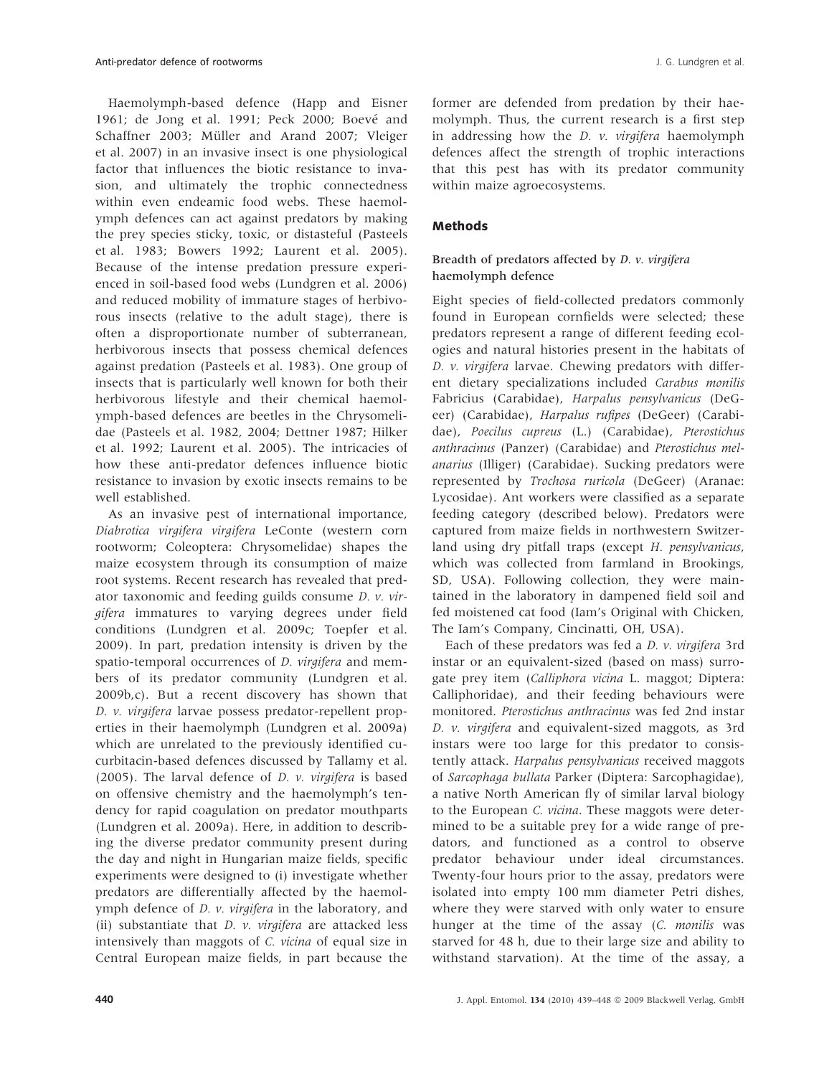Haemolymph-based defence (Happ and Eisner 1961; de Jong et al. 1991; Peck 2000; Boevé and Schaffner 2003; Müller and Arand 2007; Vleiger et al. 2007) in an invasive insect is one physiological factor that influences the biotic resistance to invasion, and ultimately the trophic connectedness within even endeamic food webs. These haemolymph defences can act against predators by making the prey species sticky, toxic, or distasteful (Pasteels et al. 1983; Bowers 1992; Laurent et al. 2005). Because of the intense predation pressure experienced in soil-based food webs (Lundgren et al. 2006) and reduced mobility of immature stages of herbivorous insects (relative to the adult stage), there is often a disproportionate number of subterranean, herbivorous insects that possess chemical defences against predation (Pasteels et al. 1983). One group of insects that is particularly well known for both their herbivorous lifestyle and their chemical haemolymph-based defences are beetles in the Chrysomelidae (Pasteels et al. 1982, 2004; Dettner 1987; Hilker et al. 1992; Laurent et al. 2005). The intricacies of how these anti-predator defences influence biotic resistance to invasion by exotic insects remains to be well established.

As an invasive pest of international importance, Diabrotica virgifera virgifera LeConte (western corn rootworm; Coleoptera: Chrysomelidae) shapes the maize ecosystem through its consumption of maize root systems. Recent research has revealed that predator taxonomic and feeding guilds consume D. v. virgifera immatures to varying degrees under field conditions (Lundgren et al. 2009c; Toepfer et al. 2009). In part, predation intensity is driven by the spatio-temporal occurrences of D. virgifera and members of its predator community (Lundgren et al. 2009b,c). But a recent discovery has shown that D. v. virgifera larvae possess predator-repellent properties in their haemolymph (Lundgren et al. 2009a) which are unrelated to the previously identified cucurbitacin-based defences discussed by Tallamy et al. (2005). The larval defence of  $D$ .  $v$ . virgifera is based on offensive chemistry and the haemolymph's tendency for rapid coagulation on predator mouthparts (Lundgren et al. 2009a). Here, in addition to describing the diverse predator community present during the day and night in Hungarian maize fields, specific experiments were designed to (i) investigate whether predators are differentially affected by the haemolymph defence of *D. v. virgifera* in the laboratory, and (ii) substantiate that  $D.$  v. virgifera are attacked less intensively than maggots of C. vicina of equal size in Central European maize fields, in part because the

former are defended from predation by their haemolymph. Thus, the current research is a first step in addressing how the  $D.$  v. virgifera haemolymph defences affect the strength of trophic interactions that this pest has with its predator community within maize agroecosystems.

# Methods

# Breadth of predators affected by *D. v. virgifera* haemolymph defence

Eight species of field-collected predators commonly found in European cornfields were selected; these predators represent a range of different feeding ecologies and natural histories present in the habitats of D. v. virgifera larvae. Chewing predators with different dietary specializations included Carabus monilis Fabricius (Carabidae), Harpalus pensylvanicus (DeGeer) (Carabidae), Harpalus rufipes (DeGeer) (Carabidae), Poecilus cupreus (L.) (Carabidae), Pterostichus anthracinus (Panzer) (Carabidae) and Pterostichus melanarius (Illiger) (Carabidae). Sucking predators were represented by Trochosa ruricola (DeGeer) (Aranae: Lycosidae). Ant workers were classified as a separate feeding category (described below). Predators were captured from maize fields in northwestern Switzerland using dry pitfall traps (except H. pensylvanicus, which was collected from farmland in Brookings, SD, USA). Following collection, they were maintained in the laboratory in dampened field soil and fed moistened cat food (Iam's Original with Chicken, The Iam's Company, Cincinatti, OH, USA).

Each of these predators was fed a D. v. virgifera 3rd instar or an equivalent-sized (based on mass) surrogate prey item (Calliphora vicina L. maggot; Diptera: Calliphoridae), and their feeding behaviours were monitored. Pterostichus anthracinus was fed 2nd instar D. v. virgifera and equivalent-sized maggots, as 3rd instars were too large for this predator to consistently attack. Harpalus pensylvanicus received maggots of Sarcophaga bullata Parker (Diptera: Sarcophagidae), a native North American fly of similar larval biology to the European C. vicina. These maggots were determined to be a suitable prey for a wide range of predators, and functioned as a control to observe predator behaviour under ideal circumstances. Twenty-four hours prior to the assay, predators were isolated into empty 100 mm diameter Petri dishes, where they were starved with only water to ensure hunger at the time of the assay (C. monilis was starved for 48 h, due to their large size and ability to withstand starvation). At the time of the assay, a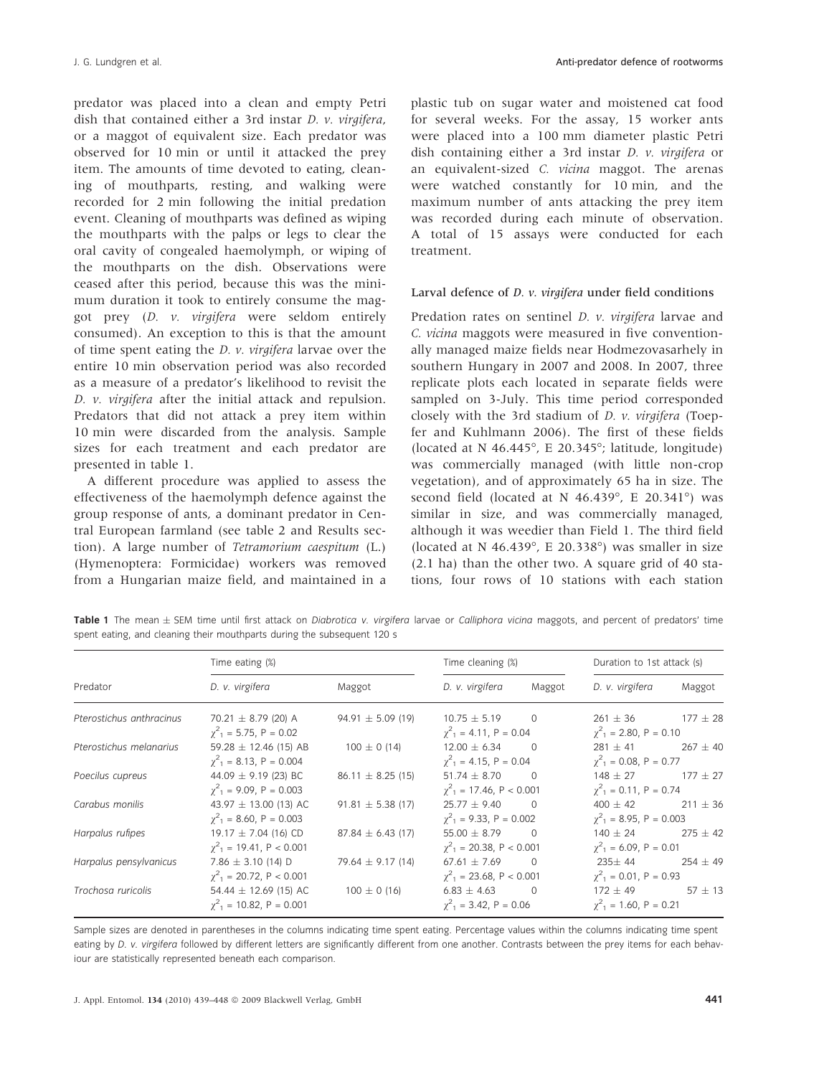predator was placed into a clean and empty Petri dish that contained either a 3rd instar D. v. virgifera, or a maggot of equivalent size. Each predator was observed for 10 min or until it attacked the prey item. The amounts of time devoted to eating, cleaning of mouthparts, resting, and walking were recorded for 2 min following the initial predation event. Cleaning of mouthparts was defined as wiping the mouthparts with the palps or legs to clear the oral cavity of congealed haemolymph, or wiping of the mouthparts on the dish. Observations were ceased after this period, because this was the minimum duration it took to entirely consume the maggot prey (D. v. virgifera were seldom entirely consumed). An exception to this is that the amount of time spent eating the  $D.$   $v.$  virgifera larvae over the entire 10 min observation period was also recorded as a measure of a predator's likelihood to revisit the D. v. virgifera after the initial attack and repulsion. Predators that did not attack a prey item within 10 min were discarded from the analysis. Sample sizes for each treatment and each predator are presented in table 1.

A different procedure was applied to assess the effectiveness of the haemolymph defence against the group response of ants, a dominant predator in Central European farmland (see table 2 and Results section). A large number of Tetramorium caespitum (L.) (Hymenoptera: Formicidae) workers was removed from a Hungarian maize field, and maintained in a plastic tub on sugar water and moistened cat food for several weeks. For the assay, 15 worker ants were placed into a 100 mm diameter plastic Petri dish containing either a 3rd instar D. v. virgifera or an equivalent-sized *C. vicina* maggot. The arenas were watched constantly for 10 min, and the maximum number of ants attacking the prey item was recorded during each minute of observation. A total of 15 assays were conducted for each treatment.

#### Larval defence of *D. v. virgifera* under field conditions

Predation rates on sentinel D. v. virgifera larvae and C. vicina maggots were measured in five conventionally managed maize fields near Hodmezovasarhely in southern Hungary in 2007 and 2008. In 2007, three replicate plots each located in separate fields were sampled on 3-July. This time period corresponded closely with the 3rd stadium of D. v. virgifera (Toepfer and Kuhlmann 2006). The first of these fields (located at N 46.445 $^{\circ}$ , E 20.345 $^{\circ}$ ; latitude, longitude) was commercially managed (with little non-crop vegetation), and of approximately 65 ha in size. The second field (located at N  $46.439^{\circ}$ , E  $20.341^{\circ}$ ) was similar in size, and was commercially managed, although it was weedier than Field 1. The third field (located at N 46.439 $^{\circ}$ , E 20.338 $^{\circ}$ ) was smaller in size (2.1 ha) than the other two. A square grid of 40 stations, four rows of 10 stations with each station

**Table 1** The mean  $\pm$  SEM time until first attack on *Diabrotica v. virgifera* larvae or Calliphora vicina maggots, and percent of predators' time spent eating, and cleaning their mouthparts during the subsequent 120 s

| Predator                 | Time eating (%)                            |                       | Time cleaning (%)                         |                | Duration to 1st attack (s)               |        |
|--------------------------|--------------------------------------------|-----------------------|-------------------------------------------|----------------|------------------------------------------|--------|
|                          | D. v. virgifera                            | Maggot                | D. v. virgifera                           | Maggot         | D. v. virgifera                          | Maggot |
| Pterostichus anthracinus | 70.21 $\pm$ 8.79 (20) A                    | $94.91 \pm 5.09$ (19) | $10.75 \pm 5.19$ 0                        |                | $261 \pm 36$ 177 $\pm 28$                |        |
|                          | $\gamma^2$ <sub>1</sub> = 5.75, P = 0.02   |                       | $\gamma^2$ <sub>1</sub> = 4.11, P = 0.04  |                | $\gamma^2$ <sub>1</sub> = 2.80, P = 0.10 |        |
| Pterostichus melanarius  | 59.28 $\pm$ 12.46 (15) AB                  | $100 \pm 0$ (14)      | $12.00 \pm 6.34$ 0                        |                | $281 \pm 41$ 267 $\pm 40$                |        |
|                          | $\gamma^2$ <sub>1</sub> = 8.13, P = 0.004  |                       | $\gamma^2$ <sub>1</sub> = 4.15, P = 0.04  |                | $\chi^2$ <sub>1</sub> = 0.08, P = 0.77   |        |
| Poecilus cupreus         | 44.09 $\pm$ 9.19 (23) BC                   | $86.11 \pm 8.25$ (15) | $51.74 \pm 8.70$ 0                        |                | $148 \pm 27$ 177 $\pm 27$                |        |
|                          | $\gamma^2$ <sub>1</sub> = 9.09, P = 0.003  |                       | $\chi^2$ <sub>1</sub> = 17.46, P < 0.001  |                | $\chi^2$ <sub>1</sub> = 0.11, P = 0.74   |        |
| Carabus monilis          | 43.97 $\pm$ 13.00 (13) AC                  | $91.81 \pm 5.38$ (17) | $25.77 \pm 9.40$                          | $\overline{0}$ | $400 \pm 42$ 211 $\pm 36$                |        |
|                          | $\gamma^2$ <sub>1</sub> = 8.60, P = 0.003  |                       | $\gamma^2$ <sub>1</sub> = 9.33, P = 0.002 |                | $\chi^2$ <sub>1</sub> = 8.95, P = 0.003  |        |
| Harpalus rufipes         | $19.17 \pm 7.04$ (16) CD                   | $87.84 \pm 6.43$ (17) | $55.00 \pm 8.79$                          | $\overline{0}$ | $140 \pm 24$ 275 $\pm 42$                |        |
|                          | $\chi^2$ <sub>1</sub> = 19.41, P < 0.001   |                       | $\chi^2$ <sub>1</sub> = 20.38, P < 0.001  |                | $\chi^2$ <sub>1</sub> = 6.09, P = 0.01   |        |
| Harpalus pensylvanicus   | 7.86 $\pm$ 3.10 (14) D                     | 79.64 $\pm$ 9.17 (14) | $67.61 \pm 7.69$                          | $\overline{0}$ | $235 \pm 44$ 254 $\pm 49$                |        |
|                          | $\chi^2$ <sub>1</sub> = 20.72, P < 0.001   |                       | $\chi^2$ <sub>1</sub> = 23.68, P < 0.001  |                | $\gamma^2$ <sub>1</sub> = 0.01, P = 0.93 |        |
| Trochosa ruricolis       | 54.44 $\pm$ 12.69 (15) AC                  | $100 \pm 0$ (16)      | $6.83 \pm 4.63$ 0                         |                | $172 \pm 49$ 57 $\pm$ 13                 |        |
|                          | $\gamma^2$ <sub>1</sub> = 10.82, P = 0.001 |                       | $\gamma^2$ <sub>1</sub> = 3.42, P = 0.06  |                | $\gamma^2$ <sub>1</sub> = 1.60, P = 0.21 |        |

Sample sizes are denoted in parentheses in the columns indicating time spent eating. Percentage values within the columns indicating time spent eating by D. v. virgifera followed by different letters are significantly different from one another. Contrasts between the prey items for each behaviour are statistically represented beneath each comparison.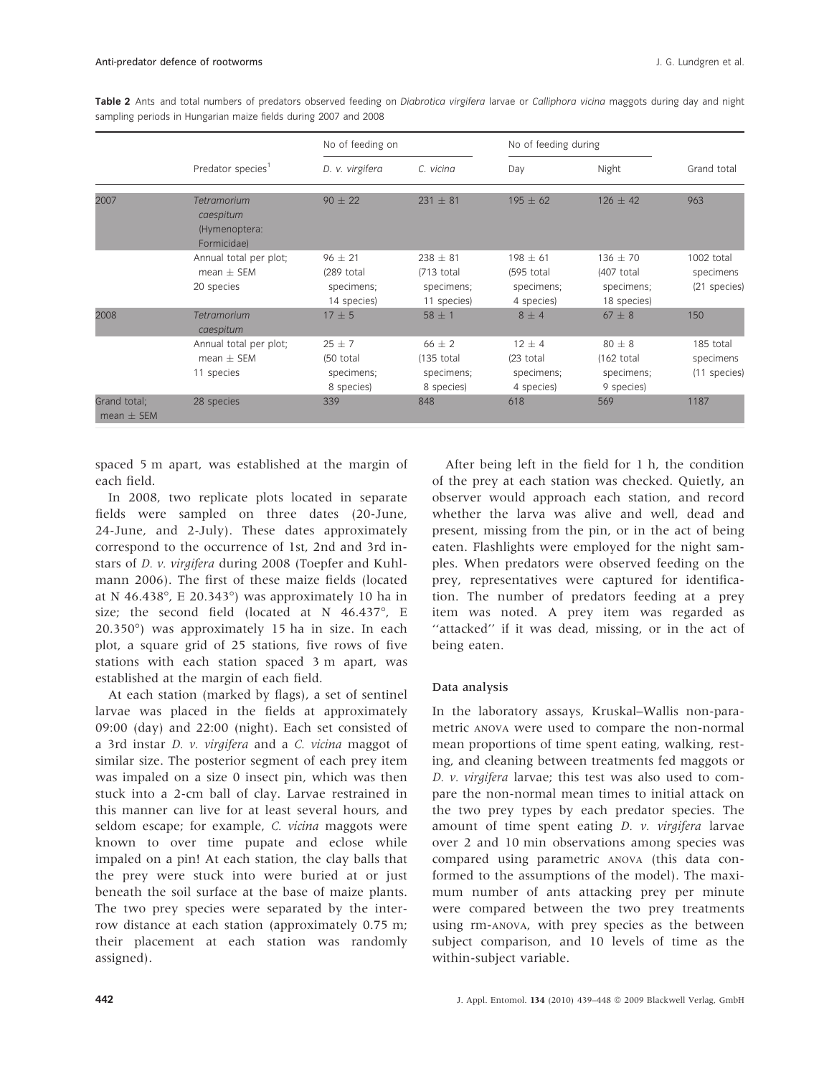Table 2 Ants and total numbers of predators observed feeding on Diabrotica virgifera larvae or Calliphora vicina maggots during day and night sampling periods in Hungarian maize fields during 2007 and 2008

|                                |                                                          | No of feeding on                                       |                                                           |                                                        | No of feeding during                                    |                                         |
|--------------------------------|----------------------------------------------------------|--------------------------------------------------------|-----------------------------------------------------------|--------------------------------------------------------|---------------------------------------------------------|-----------------------------------------|
|                                | Predator species <sup>1</sup>                            | D. v. virgifera                                        | C. vicina                                                 | Day                                                    | Night                                                   | Grand total                             |
| 2007                           | Tetramorium<br>caespitum<br>(Hymenoptera:<br>Formicidae) | $90 \pm 22$                                            | $231 \pm 81$                                              | $195 \pm 62$                                           | $126 \pm 42$                                            | 963                                     |
|                                | Annual total per plot;<br>$mean + SEM$<br>20 species     | $96 \pm 21$<br>(289 total<br>specimens;<br>14 species) | $238 \pm 81$<br>$(713$ total<br>specimens;<br>11 species) | $198 \pm 61$<br>(595 total<br>specimens;<br>4 species) | $136 \pm 70$<br>(407 total<br>specimens;<br>18 species) | 1002 total<br>specimens<br>(21 species) |
| 2008                           | Tetramorium<br>caespitum                                 | $17 + 5$                                               | $58 \pm 1$                                                | $8 \pm 4$                                              | $67 \pm 8$                                              | 150                                     |
|                                | Annual total per plot;<br>mean $\pm$ SEM<br>11 species   | $25 \pm 7$<br>(50 total<br>specimens;<br>8 species)    | $66 \pm 2$<br>$(135$ total<br>specimens;<br>8 species)    | $12 \pm 4$<br>$(23$ total<br>specimens;<br>4 species)  | $80 \pm 8$<br>$(162$ total<br>specimens;<br>9 species)  | 185 total<br>specimens<br>(11 species)  |
| Grand total;<br>mean $\pm$ SEM | 28 species                                               | 339                                                    | 848                                                       | 618                                                    | 569                                                     | 1187                                    |

spaced 5 m apart, was established at the margin of each field.

In 2008, two replicate plots located in separate fields were sampled on three dates (20-June, 24-June, and 2-July). These dates approximately correspond to the occurrence of 1st, 2nd and 3rd instars of D. v. virgifera during 2008 (Toepfer and Kuhlmann 2006). The first of these maize fields (located at N 46.438°, E 20.343°) was approximately 10 ha in size; the second field (located at  $N$  46.437°,  $E$ 20.350°) was approximately 15 ha in size. In each plot, a square grid of 25 stations, five rows of five stations with each station spaced 3 m apart, was established at the margin of each field.

At each station (marked by flags), a set of sentinel larvae was placed in the fields at approximately 09:00 (day) and 22:00 (night). Each set consisted of a 3rd instar D. v. virgifera and a C. vicina maggot of similar size. The posterior segment of each prey item was impaled on a size 0 insect pin, which was then stuck into a 2-cm ball of clay. Larvae restrained in this manner can live for at least several hours, and seldom escape; for example, C. vicina maggots were known to over time pupate and eclose while impaled on a pin! At each station, the clay balls that the prey were stuck into were buried at or just beneath the soil surface at the base of maize plants. The two prey species were separated by the interrow distance at each station (approximately 0.75 m; their placement at each station was randomly assigned).

After being left in the field for 1 h, the condition of the prey at each station was checked. Quietly, an observer would approach each station, and record whether the larva was alive and well, dead and present, missing from the pin, or in the act of being eaten. Flashlights were employed for the night samples. When predators were observed feeding on the prey, representatives were captured for identification. The number of predators feeding at a prey item was noted. A prey item was regarded as "attacked" if it was dead, missing, or in the act of being eaten.

#### Data analysis

In the laboratory assays, Kruskal–Wallis non-parametric anova were used to compare the non-normal mean proportions of time spent eating, walking, resting, and cleaning between treatments fed maggots or D. v. virgifera larvae; this test was also used to compare the non-normal mean times to initial attack on the two prey types by each predator species. The amount of time spent eating D. v. virgifera larvae over 2 and 10 min observations among species was compared using parametric anova (this data conformed to the assumptions of the model). The maximum number of ants attacking prey per minute were compared between the two prey treatments using rm-anova, with prey species as the between subject comparison, and 10 levels of time as the within-subject variable.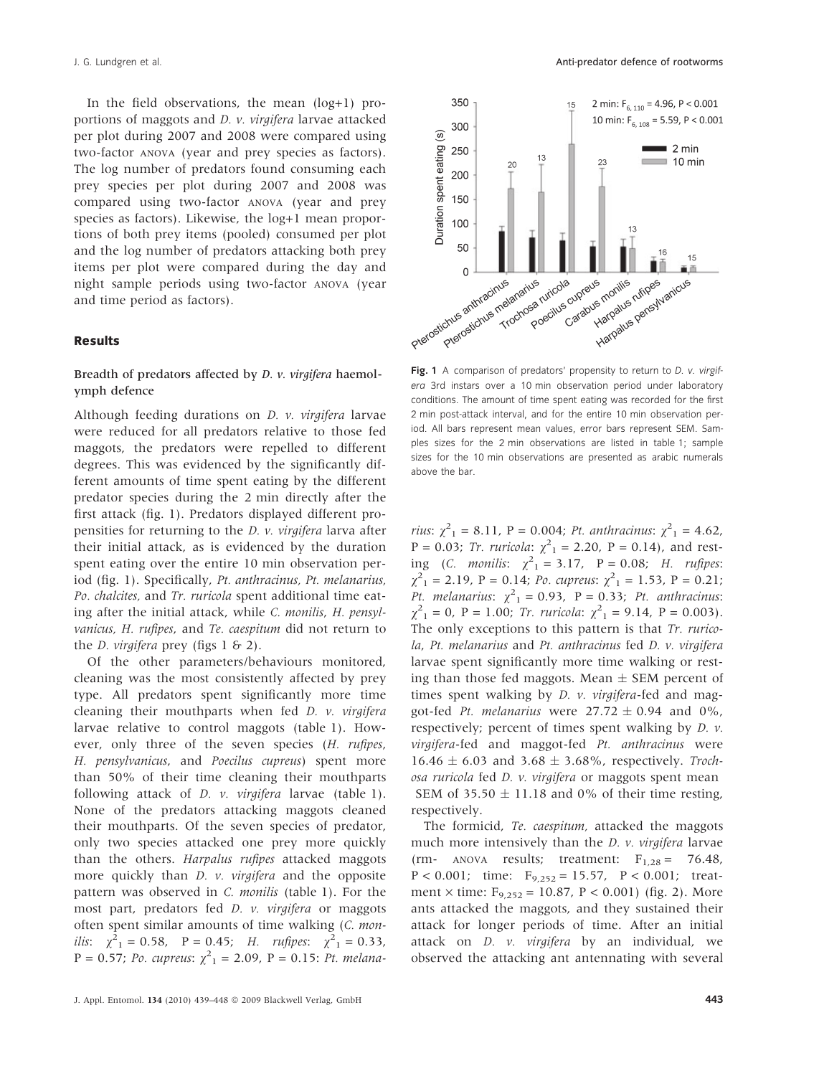In the field observations, the mean (log+1) proportions of maggots and D. v. virgifera larvae attacked per plot during 2007 and 2008 were compared using two-factor anova (year and prey species as factors). The log number of predators found consuming each prey species per plot during 2007 and 2008 was compared using two-factor anova (year and prey species as factors). Likewise, the log+1 mean proportions of both prey items (pooled) consumed per plot and the log number of predators attacking both prey items per plot were compared during the day and night sample periods using two-factor anova (year and time period as factors).

# Results

# Breadth of predators affected by *D. v. virgifera* haemolymph defence

Although feeding durations on D. v. virgifera larvae were reduced for all predators relative to those fed maggots, the predators were repelled to different degrees. This was evidenced by the significantly different amounts of time spent eating by the different predator species during the 2 min directly after the first attack (fig. 1). Predators displayed different propensities for returning to the D. v. virgifera larva after their initial attack, as is evidenced by the duration spent eating over the entire 10 min observation period (fig. 1). Specifically, Pt. anthracinus, Pt. melanarius, Po. chalcites, and Tr. ruricola spent additional time eating after the initial attack, while C. monilis, H. pensylvanicus, H. rufipes, and Te. caespitum did not return to the *D. virgifera* prey (figs  $1 \& 2$ ).

Of the other parameters/behaviours monitored, cleaning was the most consistently affected by prey type. All predators spent significantly more time cleaning their mouthparts when fed D. v. virgifera larvae relative to control maggots (table 1). However, only three of the seven species (H. rufipes, H. pensylvanicus, and Poecilus cupreus) spent more than 50% of their time cleaning their mouthparts following attack of D. v. virgifera larvae (table 1). None of the predators attacking maggots cleaned their mouthparts. Of the seven species of predator, only two species attacked one prey more quickly than the others. Harpalus rufipes attacked maggots more quickly than *D. v. virgifera* and the opposite pattern was observed in C. monilis (table 1). For the most part, predators fed D. v. virgifera or maggots often spent similar amounts of time walking (C. monilis:  $\chi^2_{1} = 0.58$ , P = 0.45; H. rufipes:  $\chi^2_{1} = 0.33$ ,  $P = 0.57$ ; Po. cupreus:  $\chi^2_{1} = 2.09$ , P = 0.15: Pt. melana-



Fig. 1 A comparison of predators' propensity to return to D. v. virgifera 3rd instars over a 10 min observation period under laboratory conditions. The amount of time spent eating was recorded for the first 2 min post-attack interval, and for the entire 10 min observation period. All bars represent mean values, error bars represent SEM. Samples sizes for the 2 min observations are listed in table 1; sample sizes for the 10 min observations are presented as arabic numerals above the bar.

rius:  $\chi^2_1 = 8.11$ , P = 0.004; Pt. anthracinus:  $\chi^2_1 = 4.62$ ,  $P = 0.03$ ; Tr. ruricola:  $\chi^2_1 = 2.20$ ,  $P = 0.14$ ), and resting (*C. monilis:*  $\chi^2 = 3.17$ , P = 0.08; *H. rufipes*:  $\chi^2_{1} = 2.19$ , P = 0.14; Po. cupreus:  $\chi^2_{1} = 1.53$ , P = 0.21; Pt. melanarius:  $\chi^2_{1} = 0.93$ , P = 0.33; Pt. anthracinus:  $\chi^2_{1} = 0$ , P = 1.00; Tr. ruricola:  $\chi^2_{1} = 9.14$ , P = 0.003). The only exceptions to this pattern is that Tr. ruricola, Pt. melanarius and Pt. anthracinus fed D. v. virgifera larvae spent significantly more time walking or resting than those fed maggots. Mean  $\pm$  SEM percent of times spent walking by  $D.$  v. virgifera-fed and maggot-fed *Pt. melanarius* were 27.72  $\pm$  0.94 and 0%, respectively; percent of times spent walking by D. v. virgifera-fed and maggot-fed Pt. anthracinus were  $16.46 \pm 6.03$  and  $3.68 \pm 3.68$ %, respectively. Trochosa ruricola fed D. v. virgifera or maggots spent mean SEM of 35.50  $\pm$  11.18 and 0% of their time resting, respectively.

The formicid, Te. caespitum, attacked the maggots much more intensively than the D. v. virgifera larvae (rm-  $ANOVA$  results; treatment:  $F_{1,28} = 76.48$ ,  $P < 0.001$ ; time:  $F_{9,252} = 15.57$ ,  $P < 0.001$ ; treatment  $\times$  time:  $F_{9,252} = 10.87$ ,  $P < 0.001$ ) (fig. 2). More ants attacked the maggots, and they sustained their attack for longer periods of time. After an initial attack on D. v. virgifera by an individual, we observed the attacking ant antennating with several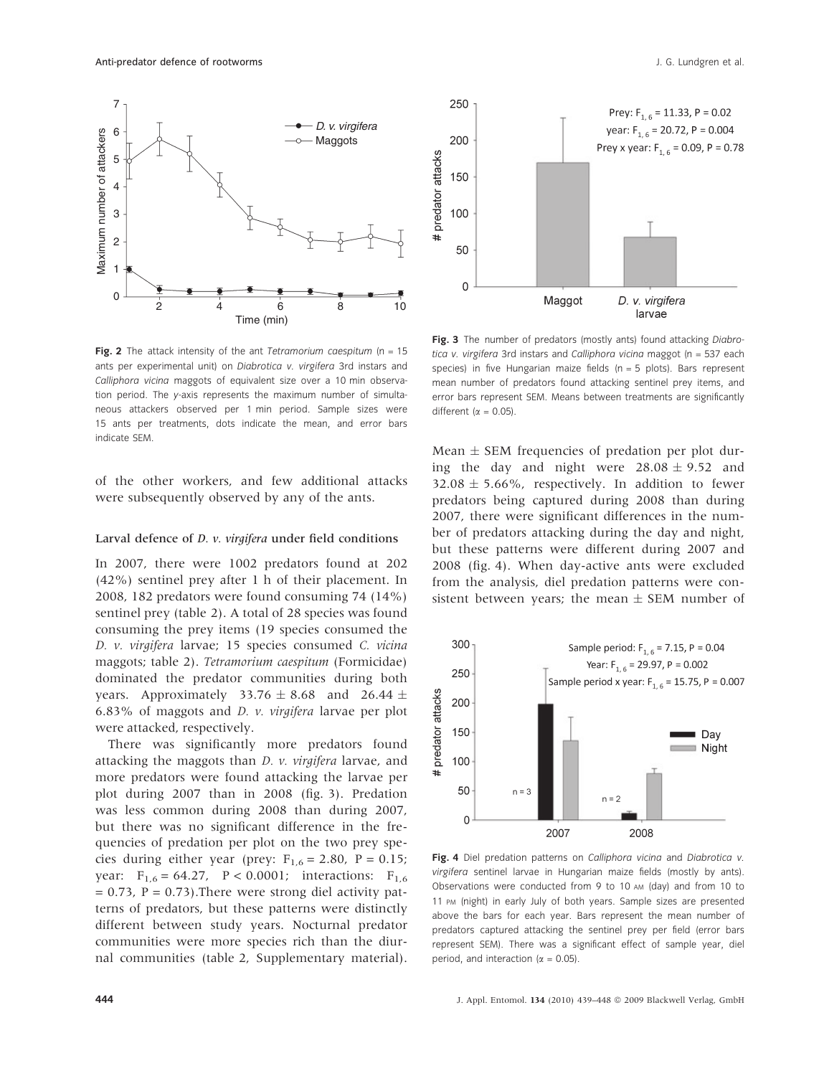

Fig. 2 The attack intensity of the ant Tetramorium caespitum ( $n = 15$ ants per experimental unit) on Diabrotica v. virgifera 3rd instars and Calliphora vicina maggots of equivalent size over a 10 min observation period. The y-axis represents the maximum number of simultaneous attackers observed per 1 min period. Sample sizes were 15 ants per treatments, dots indicate the mean, and error bars indicate SEM.

of the other workers, and few additional attacks were subsequently observed by any of the ants.

# Larval defence of D. v. virgifera under field conditions

In 2007, there were 1002 predators found at 202 (42%) sentinel prey after 1 h of their placement. In 2008, 182 predators were found consuming 74 (14%) sentinel prey (table 2). A total of 28 species was found consuming the prey items (19 species consumed the D. v. virgifera larvae; 15 species consumed C. vicina maggots; table 2). Tetramorium caespitum (Formicidae) dominated the predator communities during both years. Approximately 33.76  $\pm$  8.68 and 26.44  $\pm$ 6.83% of maggots and D. v. virgifera larvae per plot were attacked, respectively.

There was significantly more predators found attacking the maggots than D. v. virgifera larvae, and more predators were found attacking the larvae per plot during 2007 than in 2008 (fig. 3). Predation was less common during 2008 than during 2007, but there was no significant difference in the frequencies of predation per plot on the two prey species during either year (prey:  $F_{1,6} = 2.80$ ,  $P = 0.15$ ; year:  $F_{1,6} = 64.27$ ,  $P < 0.0001$ ; interactions:  $F_{1,6}$  $= 0.73$ , P  $= 0.73$ ). There were strong diel activity patterns of predators, but these patterns were distinctly different between study years. Nocturnal predator communities were more species rich than the diurnal communities (table 2, Supplementary material).



Fig. 3 The number of predators (mostly ants) found attacking Diabrotica v. virgifera 3rd instars and Calliphora vicina maggot (n = 537 each species) in five Hungarian maize fields ( $n = 5$  plots). Bars represent mean number of predators found attacking sentinel prey items, and error bars represent SEM. Means between treatments are significantly different ( $\alpha = 0.05$ ).

Mean  $\pm$  SEM frequencies of predation per plot during the day and night were  $28.08 \pm 9.52$  and  $32.08 \pm 5.66\%$ , respectively. In addition to fewer predators being captured during 2008 than during 2007, there were significant differences in the number of predators attacking during the day and night, but these patterns were different during 2007 and 2008 (fig. 4). When day-active ants were excluded from the analysis, diel predation patterns were consistent between years; the mean  $\pm$  SEM number of



Fig. 4 Diel predation patterns on Calliphora vicina and Diabrotica v. virgifera sentinel larvae in Hungarian maize fields (mostly by ants). Observations were conducted from 9 to 10 AM (day) and from 10 to 11 PM (night) in early July of both years. Sample sizes are presented above the bars for each year. Bars represent the mean number of predators captured attacking the sentinel prey per field (error bars represent SEM). There was a significant effect of sample year, diel period, and interaction ( $\alpha = 0.05$ ).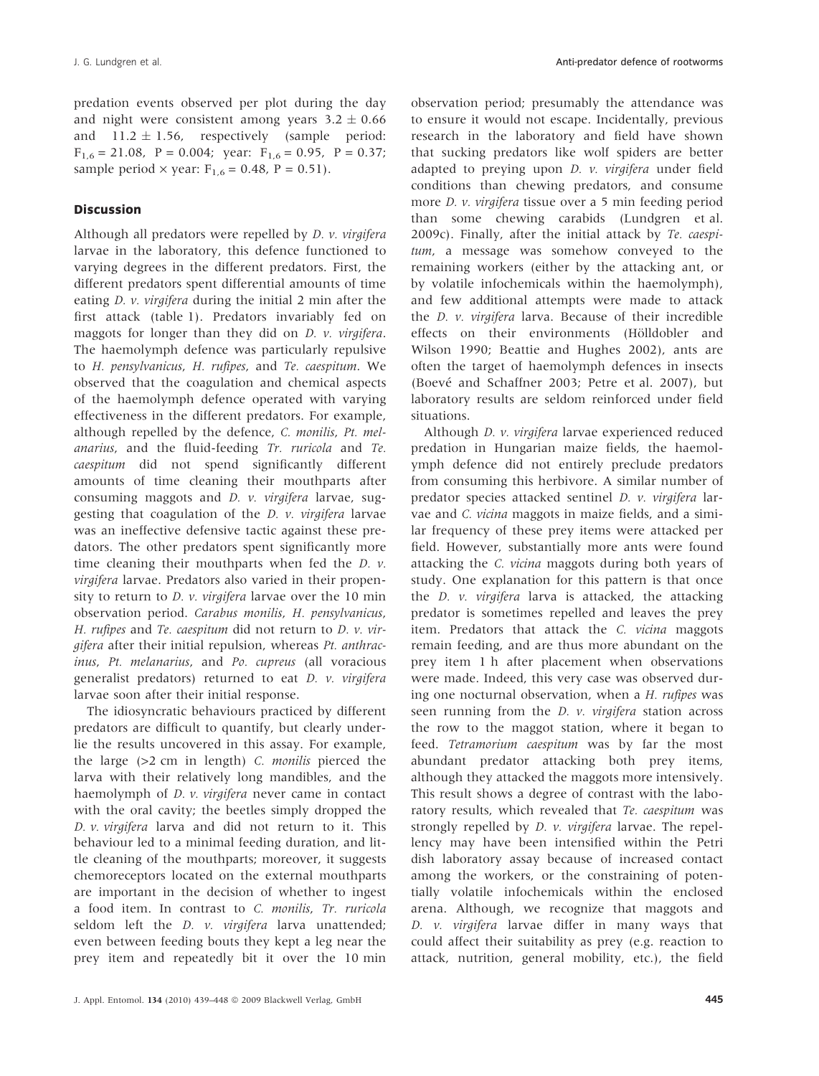predation events observed per plot during the day and night were consistent among years 3.2  $\pm$  0.66  $\,$ and  $11.2 \pm 1.56$ , respectively (sample period:  $F_{1,6} = 21.08$ ,  $P = 0.004$ ; year:  $F_{1,6} = 0.95$ ,  $P = 0.37$ ; sample period  $\times$  year:  $F_{1,6} = 0.48$ ,  $P = 0.51$ ).

# **Discussion**

Although all predators were repelled by D. v. virgifera larvae in the laboratory, this defence functioned to varying degrees in the different predators. First, the different predators spent differential amounts of time eating D. v. virgifera during the initial 2 min after the first attack (table 1). Predators invariably fed on maggots for longer than they did on D. v. virgifera. The haemolymph defence was particularly repulsive to H. pensylvanicus, H. rufipes, and Te. caespitum. We observed that the coagulation and chemical aspects of the haemolymph defence operated with varying effectiveness in the different predators. For example, although repelled by the defence, C. monilis, Pt. melanarius, and the fluid-feeding Tr. ruricola and Te. caespitum did not spend significantly different amounts of time cleaning their mouthparts after consuming maggots and D. v. virgifera larvae, suggesting that coagulation of the  $D$ .  $\nu$ . virgifera larvae was an ineffective defensive tactic against these predators. The other predators spent significantly more time cleaning their mouthparts when fed the  $D. v.$ virgifera larvae. Predators also varied in their propensity to return to *D. v. virgifera* larvae over the 10 min observation period. Carabus monilis, H. pensylvanicus, H. rufipes and Te. caespitum did not return to D. v. virgifera after their initial repulsion, whereas Pt. anthracinus, Pt. melanarius, and Po. cupreus (all voracious generalist predators) returned to eat D. v. virgifera larvae soon after their initial response.

The idiosyncratic behaviours practiced by different predators are difficult to quantify, but clearly underlie the results uncovered in this assay. For example, the large  $(>2$  cm in length) C. *monilis* pierced the larva with their relatively long mandibles, and the haemolymph of D. v. virgifera never came in contact with the oral cavity; the beetles simply dropped the D. v. virgifera larva and did not return to it. This behaviour led to a minimal feeding duration, and little cleaning of the mouthparts; moreover, it suggests chemoreceptors located on the external mouthparts are important in the decision of whether to ingest a food item. In contrast to C. monilis, Tr. ruricola seldom left the *D. v. virgifera* larva unattended; even between feeding bouts they kept a leg near the prey item and repeatedly bit it over the 10 min

observation period; presumably the attendance was to ensure it would not escape. Incidentally, previous research in the laboratory and field have shown that sucking predators like wolf spiders are better adapted to preying upon  $D. v. v$  virgifera under field conditions than chewing predators, and consume more D. v. virgifera tissue over a 5 min feeding period than some chewing carabids (Lundgren et al. 2009c). Finally, after the initial attack by Te. caespitum, a message was somehow conveyed to the remaining workers (either by the attacking ant, or by volatile infochemicals within the haemolymph), and few additional attempts were made to attack the D. v. virgifera larva. Because of their incredible effects on their environments (Hölldobler and Wilson 1990; Beattie and Hughes 2002), ants are often the target of haemolymph defences in insects (Boevé and Schaffner 2003; Petre et al. 2007), but laboratory results are seldom reinforced under field situations.

Although D. v. virgifera larvae experienced reduced predation in Hungarian maize fields, the haemolymph defence did not entirely preclude predators from consuming this herbivore. A similar number of predator species attacked sentinel D. v. virgifera larvae and *C. vicina* maggots in maize fields, and a similar frequency of these prey items were attacked per field. However, substantially more ants were found attacking the C. vicina maggots during both years of study. One explanation for this pattern is that once the D. v. virgifera larva is attacked, the attacking predator is sometimes repelled and leaves the prey item. Predators that attack the C. vicina maggots remain feeding, and are thus more abundant on the prey item 1 h after placement when observations were made. Indeed, this very case was observed during one nocturnal observation, when a H. rufipes was seen running from the  $D.$  v. virgifera station across the row to the maggot station, where it began to feed. Tetramorium caespitum was by far the most abundant predator attacking both prey items, although they attacked the maggots more intensively. This result shows a degree of contrast with the laboratory results, which revealed that Te. caespitum was strongly repelled by *D. v. virgifera* larvae. The repellency may have been intensified within the Petri dish laboratory assay because of increased contact among the workers, or the constraining of potentially volatile infochemicals within the enclosed arena. Although, we recognize that maggots and D. v. virgifera larvae differ in many ways that could affect their suitability as prey (e.g. reaction to attack, nutrition, general mobility, etc.), the field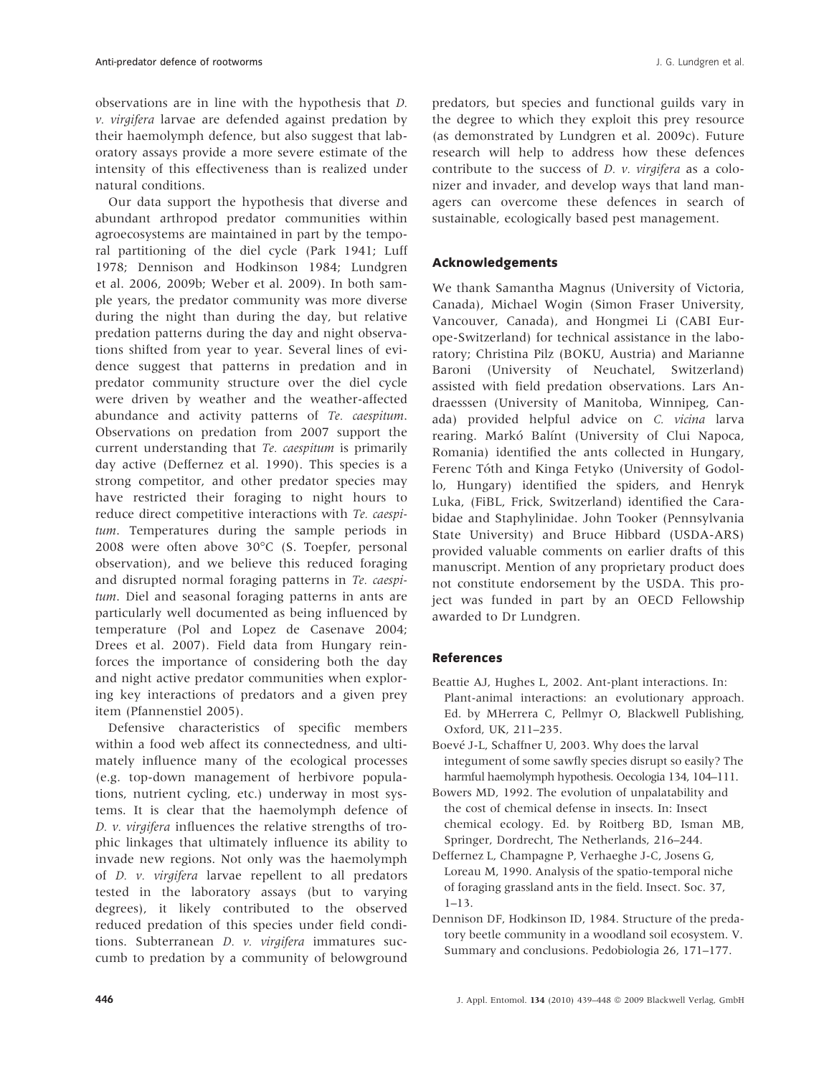observations are in line with the hypothesis that D. v. virgifera larvae are defended against predation by their haemolymph defence, but also suggest that laboratory assays provide a more severe estimate of the intensity of this effectiveness than is realized under natural conditions.

Our data support the hypothesis that diverse and abundant arthropod predator communities within agroecosystems are maintained in part by the temporal partitioning of the diel cycle (Park 1941; Luff 1978; Dennison and Hodkinson 1984; Lundgren et al. 2006, 2009b; Weber et al. 2009). In both sample years, the predator community was more diverse during the night than during the day, but relative predation patterns during the day and night observations shifted from year to year. Several lines of evidence suggest that patterns in predation and in predator community structure over the diel cycle were driven by weather and the weather-affected abundance and activity patterns of Te. caespitum. Observations on predation from 2007 support the current understanding that Te. caespitum is primarily day active (Deffernez et al. 1990). This species is a strong competitor, and other predator species may have restricted their foraging to night hours to reduce direct competitive interactions with Te. caespitum. Temperatures during the sample periods in 2008 were often above 30°C (S. Toepfer, personal observation), and we believe this reduced foraging and disrupted normal foraging patterns in Te. caespitum. Diel and seasonal foraging patterns in ants are particularly well documented as being influenced by temperature (Pol and Lopez de Casenave 2004; Drees et al. 2007). Field data from Hungary reinforces the importance of considering both the day and night active predator communities when exploring key interactions of predators and a given prey item (Pfannenstiel 2005).

Defensive characteristics of specific members within a food web affect its connectedness, and ultimately influence many of the ecological processes (e.g. top-down management of herbivore populations, nutrient cycling, etc.) underway in most systems. It is clear that the haemolymph defence of D. v. virgifera influences the relative strengths of trophic linkages that ultimately influence its ability to invade new regions. Not only was the haemolymph of D. v. virgifera larvae repellent to all predators tested in the laboratory assays (but to varying degrees), it likely contributed to the observed reduced predation of this species under field conditions. Subterranean D. v. virgifera immatures succumb to predation by a community of belowground predators, but species and functional guilds vary in the degree to which they exploit this prey resource (as demonstrated by Lundgren et al. 2009c). Future research will help to address how these defences contribute to the success of D. v. virgifera as a colonizer and invader, and develop ways that land managers can overcome these defences in search of sustainable, ecologically based pest management.

# Acknowledgements

We thank Samantha Magnus (University of Victoria, Canada), Michael Wogin (Simon Fraser University, Vancouver, Canada), and Hongmei Li (CABI Europe-Switzerland) for technical assistance in the laboratory; Christina Pilz (BOKU, Austria) and Marianne Baroni (University of Neuchatel, Switzerland) assisted with field predation observations. Lars Andraesssen (University of Manitoba, Winnipeg, Canada) provided helpful advice on C. vicina larva rearing. Markó Balínt (University of Clui Napoca, Romania) identified the ants collected in Hungary, Ferenc Tóth and Kinga Fetyko (University of Godollo, Hungary) identified the spiders, and Henryk Luka, (FiBL, Frick, Switzerland) identified the Carabidae and Staphylinidae. John Tooker (Pennsylvania State University) and Bruce Hibbard (USDA-ARS) provided valuable comments on earlier drafts of this manuscript. Mention of any proprietary product does not constitute endorsement by the USDA. This project was funded in part by an OECD Fellowship awarded to Dr Lundgren.

#### References

- Beattie AJ, Hughes L, 2002. Ant-plant interactions. In: Plant-animal interactions: an evolutionary approach. Ed. by MHerrera C, Pellmyr O, Blackwell Publishing, Oxford, UK, 211–235.
- Boevé J-L, Schaffner U, 2003. Why does the larval integument of some sawfly species disrupt so easily? The harmful haemolymph hypothesis. Oecologia 134, 104–111.
- Bowers MD, 1992. The evolution of unpalatability and the cost of chemical defense in insects. In: Insect chemical ecology. Ed. by Roitberg BD, Isman MB, Springer, Dordrecht, The Netherlands, 216–244.
- Deffernez L, Champagne P, Verhaeghe J-C, Josens G, Loreau M, 1990. Analysis of the spatio-temporal niche of foraging grassland ants in the field. Insect. Soc. 37, 1–13.
- Dennison DF, Hodkinson ID, 1984. Structure of the predatory beetle community in a woodland soil ecosystem. V. Summary and conclusions. Pedobiologia 26, 171–177.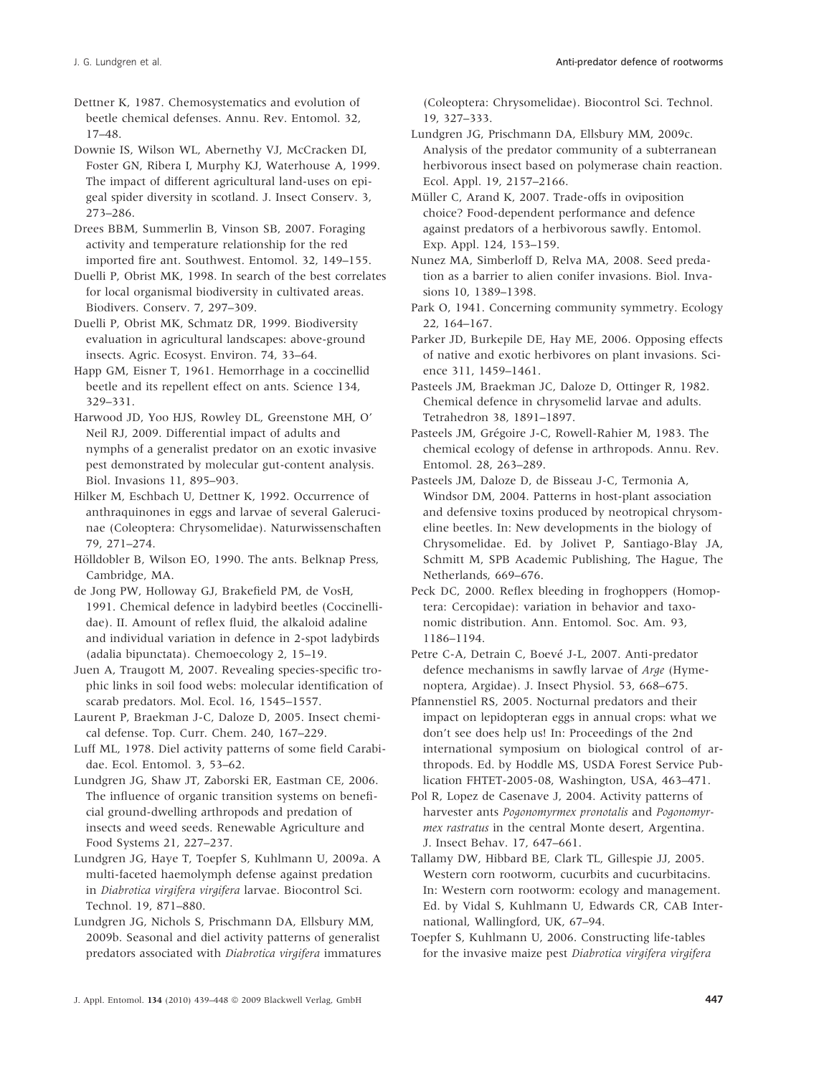Dettner K, 1987. Chemosystematics and evolution of beetle chemical defenses. Annu. Rev. Entomol. 32, 17–48.

Downie IS, Wilson WL, Abernethy VJ, McCracken DI, Foster GN, Ribera I, Murphy KJ, Waterhouse A, 1999. The impact of different agricultural land-uses on epigeal spider diversity in scotland. J. Insect Conserv. 3, 273–286.

Drees BBM, Summerlin B, Vinson SB, 2007. Foraging activity and temperature relationship for the red imported fire ant. Southwest. Entomol. 32, 149–155.

Duelli P, Obrist MK, 1998. In search of the best correlates for local organismal biodiversity in cultivated areas. Biodivers. Conserv. 7, 297–309.

Duelli P, Obrist MK, Schmatz DR, 1999. Biodiversity evaluation in agricultural landscapes: above-ground insects. Agric. Ecosyst. Environ. 74, 33–64.

Happ GM, Eisner T, 1961. Hemorrhage in a coccinellid beetle and its repellent effect on ants. Science 134, 329–331.

Harwood JD, Yoo HJS, Rowley DL, Greenstone MH, O' Neil RJ, 2009. Differential impact of adults and nymphs of a generalist predator on an exotic invasive pest demonstrated by molecular gut-content analysis. Biol. Invasions 11, 895–903.

Hilker M, Eschbach U, Dettner K, 1992. Occurrence of anthraquinones in eggs and larvae of several Galerucinae (Coleoptera: Chrysomelidae). Naturwissenschaften 79, 271–274.

Hölldobler B, Wilson EO, 1990. The ants. Belknap Press, Cambridge, MA.

de Jong PW, Holloway GJ, Brakefield PM, de VosH, 1991. Chemical defence in ladybird beetles (Coccinellidae). II. Amount of reflex fluid, the alkaloid adaline and individual variation in defence in 2-spot ladybirds (adalia bipunctata). Chemoecology 2, 15–19.

Juen A, Traugott M, 2007. Revealing species-specific trophic links in soil food webs: molecular identification of scarab predators. Mol. Ecol. 16, 1545–1557.

Laurent P, Braekman J-C, Daloze D, 2005. Insect chemical defense. Top. Curr. Chem. 240, 167–229.

Luff ML, 1978. Diel activity patterns of some field Carabidae. Ecol. Entomol. 3, 53–62.

Lundgren JG, Shaw JT, Zaborski ER, Eastman CE, 2006. The influence of organic transition systems on beneficial ground-dwelling arthropods and predation of insects and weed seeds. Renewable Agriculture and Food Systems 21, 227–237.

Lundgren JG, Haye T, Toepfer S, Kuhlmann U, 2009a. A multi-faceted haemolymph defense against predation in Diabrotica virgifera virgifera larvae. Biocontrol Sci. Technol. 19, 871–880.

Lundgren JG, Nichols S, Prischmann DA, Ellsbury MM, 2009b. Seasonal and diel activity patterns of generalist predators associated with Diabrotica virgifera immatures (Coleoptera: Chrysomelidae). Biocontrol Sci. Technol. 19, 327–333.

Lundgren JG, Prischmann DA, Ellsbury MM, 2009c. Analysis of the predator community of a subterranean herbivorous insect based on polymerase chain reaction. Ecol. Appl. 19, 2157–2166.

Müller C, Arand K, 2007. Trade-offs in oviposition choice? Food-dependent performance and defence against predators of a herbivorous sawfly. Entomol. Exp. Appl. 124, 153–159.

Nunez MA, Simberloff D, Relva MA, 2008. Seed predation as a barrier to alien conifer invasions. Biol. Invasions 10, 1389–1398.

Park O, 1941. Concerning community symmetry. Ecology 22, 164–167.

Parker JD, Burkepile DE, Hay ME, 2006. Opposing effects of native and exotic herbivores on plant invasions. Science 311, 1459–1461.

Pasteels JM, Braekman JC, Daloze D, Ottinger R, 1982. Chemical defence in chrysomelid larvae and adults. Tetrahedron 38, 1891–1897.

Pasteels JM, Grégoire J-C, Rowell-Rahier M, 1983. The chemical ecology of defense in arthropods. Annu. Rev. Entomol. 28, 263–289.

Pasteels JM, Daloze D, de Bisseau J-C, Termonia A, Windsor DM, 2004. Patterns in host-plant association and defensive toxins produced by neotropical chrysomeline beetles. In: New developments in the biology of Chrysomelidae. Ed. by Jolivet P, Santiago-Blay JA, Schmitt M, SPB Academic Publishing, The Hague, The Netherlands, 669–676.

Peck DC, 2000. Reflex bleeding in froghoppers (Homoptera: Cercopidae): variation in behavior and taxonomic distribution. Ann. Entomol. Soc. Am. 93, 1186–1194.

Petre C-A, Detrain C, Boevé J-L, 2007. Anti-predator defence mechanisms in sawfly larvae of Arge (Hymenoptera, Argidae). J. Insect Physiol. 53, 668–675.

Pfannenstiel RS, 2005. Nocturnal predators and their impact on lepidopteran eggs in annual crops: what we don't see does help us! In: Proceedings of the 2nd international symposium on biological control of arthropods. Ed. by Hoddle MS, USDA Forest Service Publication FHTET-2005-08, Washington, USA, 463–471.

Pol R, Lopez de Casenave J, 2004. Activity patterns of harvester ants Pogonomyrmex pronotalis and Pogonomyrmex rastratus in the central Monte desert, Argentina. J. Insect Behav. 17, 647–661.

Tallamy DW, Hibbard BE, Clark TL, Gillespie JJ, 2005. Western corn rootworm, cucurbits and cucurbitacins. In: Western corn rootworm: ecology and management. Ed. by Vidal S, Kuhlmann U, Edwards CR, CAB International, Wallingford, UK, 67–94.

Toepfer S, Kuhlmann U, 2006. Constructing life-tables for the invasive maize pest Diabrotica virgifera virgifera